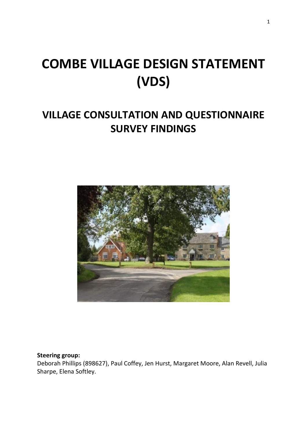# **COMBE VILLAGE DESIGN STATEMENT (VDS)**

# **VILLAGE CONSULTATION AND QUESTIONNAIRE SURVEY FINDINGS**



#### **Steering group:**

Deborah Phillips (898627), Paul Coffey, Jen Hurst, Margaret Moore, Alan Revell, Julia Sharpe, Elena Softley.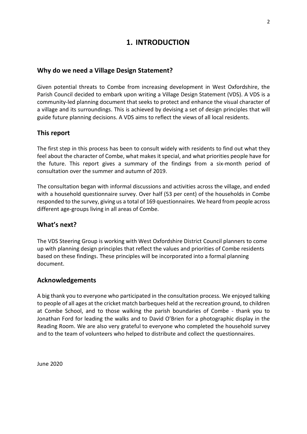# **1. INTRODUCTION**

#### **Why do we need a Village Design Statement?**

Given potential threats to Combe from increasing development in West Oxfordshire, the Parish Council decided to embark upon writing a Village Design Statement (VDS). A VDS is a community-led planning document that seeks to protect and enhance the visual character of a village and its surroundings. This is achieved by devising a set of design principles that will guide future planning decisions. A VDS aims to reflect the views of all local residents.

### **This report**

The first step in this process has been to consult widely with residents to find out what they feel about the character of Combe, what makes it special, and what priorities people have for the future. This report gives a summary of the findings from a six-month period of consultation over the summer and autumn of 2019.

The consultation began with informal discussions and activities across the village, and ended with a household questionnaire survey. Over half (53 per cent) of the households in Combe responded to the survey, giving us a total of 169 questionnaires. We heard from people across different age-groups living in all areas of Combe.

#### **What's next?**

The VDS Steering Group is working with West Oxfordshire District Council planners to come up with planning design principles that reflect the values and priorities of Combe residents based on these findings. These principles will be incorporated into a formal planning document.

#### **Acknowledgements**

A big thank you to everyone who participated in the consultation process. We enjoyed talking to people of all ages at the cricket match barbeques held at the recreation ground, to children at Combe School, and to those walking the parish boundaries of Combe - thank you to Jonathan Ford for leading the walks and to David O'Brien for a photographic display in the Reading Room. We are also very grateful to everyone who completed the household survey and to the team of volunteers who helped to distribute and collect the questionnaires.

June 2020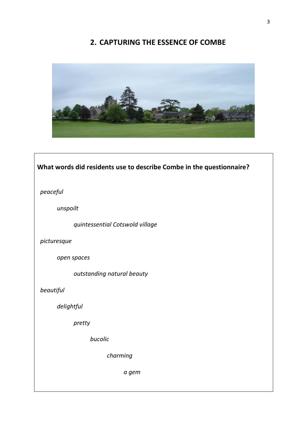# **2. CAPTURING THE ESSENCE OF COMBE**



# **What words did residents use to describe Combe in the questionnaire?**  *peaceful unspoilt quintessential Cotswold village picturesque open spaces outstanding natural beauty beautiful delightful pretty bucolic charming a gem*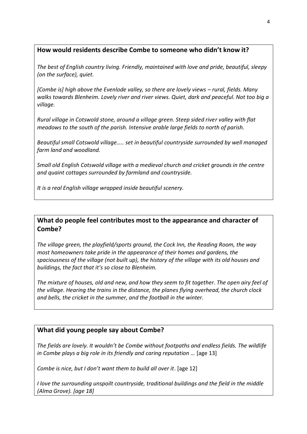## **How would residents describe Combe to someone who didn't know it?**

*The best of English country living. Friendly, maintained with love and pride, beautiful, sleepy (on the surface), quiet.*

*[Combe is] high above the Evenlode valley, so there are lovely views – rural, fields. Many walks towards Blenheim. Lovely river and river views. Quiet, dark and peaceful. Not too big a village.*

*Rural village in Cotswold stone, around a village green. Steep sided river valley with flat meadows to the south of the parish. Intensive arable large fields to north of parish.*

*Beautiful small Cotswold village….. set in beautiful countryside surrounded by well managed farm land and woodland.*

*Small old English Cotswold village with a medieval church and cricket grounds in the centre and quaint cottages surrounded by farmland and countryside.*

*It is a real English village wrapped inside beautiful scenery.*

**What do people feel contributes most to the appearance and character of Combe?**

*The village green, the playfield/sports ground, the Cock Inn, the Reading Room, the way most homeowners take pride in the appearance of their homes and gardens, the spaciousness of the village (not built up), the history of the village with its old houses and buildings, the fact that it's so close to Blenheim.*

*The mixture of houses, old and new, and how they seem to fit together. The open airy feel of the village. Hearing the trains in the distance, the planes flying overhead, the church clock and bells, the cricket in the summer, and the football in the winter.*

### **What did young people say about Combe?**

*The fields are lovely. It wouldn't be Combe without footpaths and endless fields. The wildlife in Combe plays a big role in its friendly and caring reputation …* [age 13]

*Combe is nice, but I don't want them to build all over it*. [age 12]

*I love the surrounding unspoilt countryside, traditional buildings and the field in the middle (Alma Grove). [age 18]*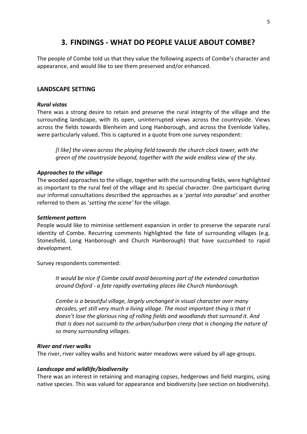# **3. FINDINGS - WHAT DO PEOPLE VALUE ABOUT COMBE?**

The people of Combe told us that they value the following aspects of Combe's character and appearance, and would like to see them preserved and/or enhanced.

#### **LANDSCAPE SETTING**

#### *Rural vistas*

There was a strong desire to retain and preserve the rural integrity of the village and the surrounding landscape, with its open, uninterrupted views across the countryside. Views across the fields towards Blenheim and Long Hanborough, and across the Evenlode Valley, were particularly valued. This is captured in a quote from one survey respondent:

*[I like] the views across the playing field towards the church clock tower, with the green of the countryside beyond, together with the wide endless view of the sky*.

#### *Approaches to the village*

The wooded approaches to the village, together with the surrounding fields, were highlighted as important to the rural feel of the village and its special character. One participant during our informal consultations described the approaches as a '*portal into paradise'* and another referred to them as '*setting the scene'* for the village.

#### *Settlement pattern*

People would like to miminise settlement expansion in order to preserve the separate rural identity of Combe. Recurring comments highlighted the fate of surrounding villages (e.g. Stonesfield, Long Hanborough and Church Hanborough) that have succumbed to rapid development.

Survey respondents commented:

*It would be nice if Combe could avoid becoming part of the extended conurbation around Oxford - a fate rapidly overtaking places like Church Hanborough.*

*Combe is a beautiful village, largely unchanged in visual character over many decades, yet still very much a living village. The most important thing is that it doesn't lose the glorious ring of rolling fields and woodlands that surround it. And that is does not succumb to the urban/suburban creep that is changing the nature of so many surrounding villages.*

#### *River and river walks*

The river, river valley walks and historic water meadows were valued by all age-groups.

#### *Landscape and wildlife/biodiversity*

There was an interest in retaining and managing copses, hedgerows and field margins, using native species. This was valued for appearance and biodiversity (see section on biodiversity).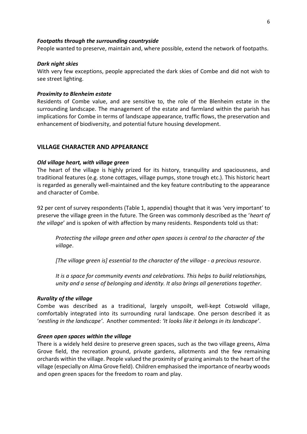#### *Footpaths through the surrounding countryside*

People wanted to preserve, maintain and, where possible, extend the network of footpaths.

#### *Dark night skies*

With very few exceptions, people appreciated the dark skies of Combe and did not wish to see street lighting.

#### *Proximity to Blenheim estate*

Residents of Combe value, and are sensitive to, the role of the Blenheim estate in the surrounding landscape. The management of the estate and farmland within the parish has implications for Combe in terms of landscape appearance, traffic flows, the preservation and enhancement of biodiversity, and potential future housing development.

#### **VILLAGE CHARACTER AND APPEARANCE**

#### *Old village heart, with village green*

The heart of the village is highly prized for its history, tranquility and spaciousness, and traditional features (e.g. stone cottages, village pumps, stone trough etc.). This historic heart is regarded as generally well-maintained and the key feature contributing to the appearance and character of Combe.

92 per cent of survey respondents (Table 1, appendix) thought that it was 'very important' to preserve the village green in the future. The Green was commonly described as the '*heart of the village*' and is spoken of with affection by many residents. Respondents told us that:

*Protecting the village green and other open spaces is central to the character of the village*.

*[The village green is] essential to the character of the village - a precious resource*.

*It is a space for community events and celebrations. This helps to build relationships, unity and a sense of belonging and identity. It also brings all generations together.*

#### *Rurality of the village*

Combe was described as a traditional, largely unspoilt, well-kept Cotswold village, comfortably integrated into its surrounding rural landscape. One person described it as '*nestling in the landscape'*. Another commented: *'It looks like it belongs in its landscape'*.

#### *Green open spaces within the village*

There is a widely held desire to preserve green spaces, such as the two village greens, Alma Grove field, the recreation ground, private gardens, allotments and the few remaining orchards within the village. People valued the proximity of grazing animals to the heart of the village (especially on Alma Grove field). Children emphasised the importance of nearby woods and open green spaces for the freedom to roam and play.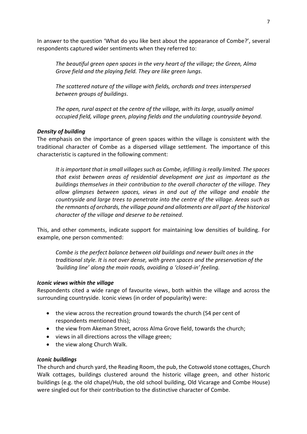In answer to the question 'What do you like best about the appearance of Combe?', several respondents captured wider sentiments when they referred to:

*The beautiful green open spaces in the very heart of the village; the Green, Alma Grove field and the playing field. They are like green lungs*.

*The scattered nature of the village with fields, orchards and trees interspersed between groups of buildings*.

*The open, rural aspect at the centre of the village, with its large, usually animal occupied field, village green, playing fields and the undulating countryside beyond.* 

#### *Density of building*

The emphasis on the importance of green spaces within the village is consistent with the traditional character of Combe as a dispersed village settlement. The importance of this characteristic is captured in the following comment:

*It is important that in small villages such as Combe, infilling is really limited. The spaces that exist between areas of residential development are just as important as the buildings themselves in their contribution to the overall character of the village. They allow glimpses between spaces, views in and out of the village and enable the countryside and large trees to penetrate into the centre of the village. Areas such as the remnants of orchards, the village pound and allotments are all part of the historical character of the village and deserve to be retained.*

This, and other comments, indicate support for maintaining low densities of building. For example, one person commented:

*Combe is the perfect balance between old buildings and newer built ones in the traditional style. It is not over dense, with green spaces and the preservation of the 'building line' along the main roads, avoiding a 'closed-in' feeling.*

#### *Iconic views within the village*

Respondents cited a wide range of favourite views, both within the village and across the surrounding countryside. Iconic views (in order of popularity) were:

- the view across the recreation ground towards the church (54 per cent of respondents mentioned this);
- the view from Akeman Street, across Alma Grove field, towards the church;
- views in all directions across the village green;
- the view along Church Walk.

#### *Iconic buildings*

The church and church yard, the Reading Room, the pub, the Cotswold stone cottages, Church Walk cottages, buildings clustered around the historic village green, and other historic buildings (e.g. the old chapel/Hub, the old school building, Old Vicarage and Combe House) were singled out for their contribution to the distinctive character of Combe.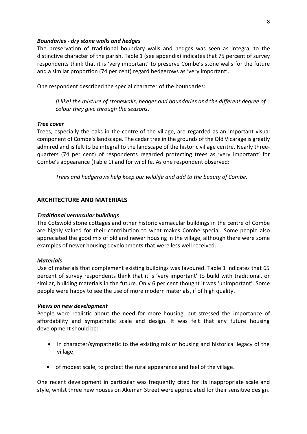#### *Boundaries - dry stone walls and hedges*

The preservation of traditional boundary walls and hedges was seen as integral to the distinctive character of the parish. Table 1 (see appendix) indicates that 75 percent of survey respondents think that it is 'very important' to preserve Combe's stone walls for the future and a similar proportion (74 per cent) regard hedgerows as 'very important'.

One respondent described the special character of the boundaries:

*[I like] the mixture of stonewalls, hedges and boundaries and the different degree of colour they give through the seasons*.

#### *Tree cover*

Trees, especially the oaks in the centre of the village, are regarded as an important visual component of Combe'slandscape. The cedar tree in the grounds of the Old Vicarage is greatly admired and is felt to be integral to the landscape of the historic village centre. Nearly threequarters (74 per cent) of respondents regarded protecting trees as 'very important' for Combe's appearance (Table 1) and for wildlife. As one respondent observed:

*Trees and hedgerows help keep our wildlife and add to the beauty of Combe.*

#### **ARCHITECTURE AND MATERIALS**

#### *Traditional vernacular buildings*

The Cotswold stone cottages and other historic vernacular buildings in the centre of Combe are highly valued for their contribution to what makes Combe special. Some people also appreciated the good mix of old and newer housing in the village, although there were some examples of newer housing developments that were less well received.

#### *Materials*

Use of materials that complement existing buildings was favoured. Table 1 indicates that 65 percent of survey respondents think that it is 'very important' to build with traditional, or similar, building materials in the future. Only 6 per cent thought it was 'unimportant'. Some people were happy to see the use of more modern materials, if of high quality.

#### *Views on new development*

People were realistic about the need for more housing, but stressed the importance of affordability and sympathetic scale and design. It was felt that any future housing development should be:

- in character/sympathetic to the existing mix of housing and historical legacy of the village;
- of modest scale, to protect the rural appearance and feel of the village.

One recent development in particular was frequently cited for its inappropriate scale and style, whilst three new houses on Akeman Street were appreciated for their sensitive design.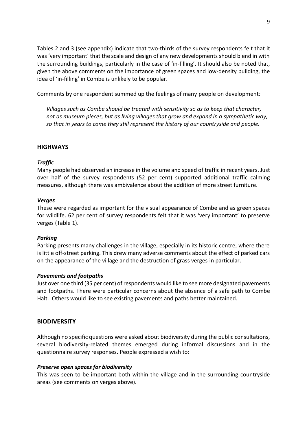Tables 2 and 3 (see appendix) indicate that two-thirds of the survey respondents felt that it was 'very important' that the scale and design of any new developments should blend in with the surrounding buildings, particularly in the case of 'in-filling'. It should also be noted that, given the above comments on the importance of green spaces and low-density building, the idea of 'in-filling' in Combe is unlikely to be popular.

Comments by one respondent summed up the feelings of many people on development*:*

*Villages such as Combe should be treated with sensitivity so as to keep that character, not as museum pieces, but as living villages that grow and expand in a sympathetic way, so that in years to come they still represent the history of our countryside and people.*

#### **HIGHWAYS**

#### *Traffic*

Many people had observed an increase in the volume and speed of traffic in recent years. Just over half of the survey respondents (52 per cent) supported additional traffic calming measures, although there was ambivalence about the addition of more street furniture.

#### *Verges*

These were regarded as important for the visual appearance of Combe and as green spaces for wildlife. 62 per cent of survey respondents felt that it was 'very important' to preserve verges (Table 1).

#### *Parking*

Parking presents many challenges in the village, especially in its historic centre, where there is little off-street parking. This drew many adverse comments about the effect of parked cars on the appearance of the village and the destruction of grass verges in particular.

#### *Pavements and footpaths*

Just over one third (35 per cent) of respondents would like to see more designated pavements and footpaths. There were particular concerns about the absence of a safe path to Combe Halt. Others would like to see existing pavements and paths better maintained.

#### **BIODIVERSITY**

Although no specific questions were asked about biodiversity during the public consultations, several biodiversity-related themes emerged during informal discussions and in the questionnaire survey responses. People expressed a wish to:

#### *Preserve open spaces for biodiversity*

This was seen to be important both within the village and in the surrounding countryside areas (see comments on verges above).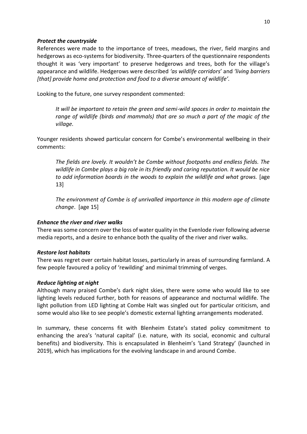#### *Protect the countryside*

References were made to the importance of trees, meadows, the river, field margins and hedgerows as eco-systems for biodiversity. Three-quarters of the questionnaire respondents thought it was 'very important' to preserve hedgerows and trees, both for the village's appearance and wildlife. Hedgerows were described *'as wildlife corridors*' and *'living barriers [that] provide home and protection and food to a diverse amount of wildlife'.* 

Looking to the future, one survey respondent commented:

*It will be important to retain the green and semi-wild spaces in order to maintain the range of wildlife (birds and mammals) that are so much a part of the magic of the village.*

Younger residents showed particular concern for Combe's environmental wellbeing in their comments:

*The fields are lovely. It wouldn't be Combe without footpaths and endless fields. The wildlife in Combe plays a big role in its friendly and caring reputation. It would be nice*  to add information boards in the woods to explain the wildlife and what grows. [age 13]

*The environment of Combe is of unrivalled importance in this modern age of climate change*. [age 15]

#### *Enhance the river and river walks*

There was some concern over the loss of water quality in the Evenlode river following adverse media reports, and a desire to enhance both the quality of the river and river walks.

#### *Restore lost habitats*

There was regret over certain habitat losses, particularly in areas of surrounding farmland. A few people favoured a policy of 'rewilding' and minimal trimming of verges.

#### *Reduce lighting at night*

Although many praised Combe's dark night skies, there were some who would like to see lighting levels reduced further, both for reasons of appearance and nocturnal wildlife. The light pollution from LED lighting at Combe Halt was singled out for particular criticism, and some would also like to see people's domestic external lighting arrangements moderated.

In summary, these concerns fit with Blenheim Estate's stated policy commitment to enhancing the area's 'natural capital' (i.e. nature, with its social, economic and cultural benefits) and biodiversity. This is encapsulated in Blenheim's 'Land Strategy' (launched in 2019), which has implications for the evolving landscape in and around Combe.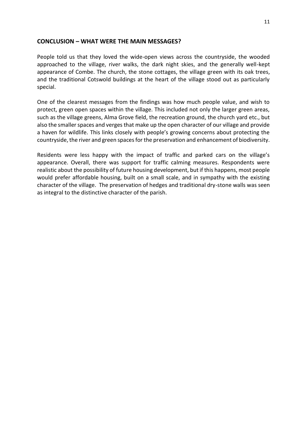#### **CONCLUSION – WHAT WERE THE MAIN MESSAGES?**

People told us that they loved the wide-open views across the countryside, the wooded approached to the village, river walks, the dark night skies, and the generally well-kept appearance of Combe. The church, the stone cottages, the village green with its oak trees, and the traditional Cotswold buildings at the heart of the village stood out as particularly special.

One of the clearest messages from the findings was how much people value, and wish to protect, green open spaces within the village. This included not only the larger green areas, such as the village greens, Alma Grove field, the recreation ground, the church yard etc., but also the smaller spaces and verges that make up the open character of our village and provide a haven for wildlife. This links closely with people's growing concerns about protecting the countryside, the river and green spaces for the preservation and enhancement of biodiversity.

Residents were less happy with the impact of traffic and parked cars on the village's appearance. Overall, there was support for traffic calming measures. Respondents were realistic about the possibility of future housing development, but if this happens, most people would prefer affordable housing, built on a small scale, and in sympathy with the existing character of the village. The preservation of hedges and traditional dry-stone walls was seen as integral to the distinctive character of the parish.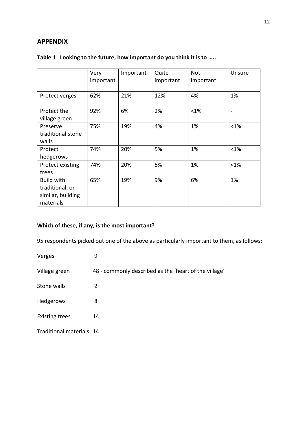#### **APPENDIX**

|                                                                        | Very<br>important | Important | Quite<br>important | Not<br>important | Unsure  |
|------------------------------------------------------------------------|-------------------|-----------|--------------------|------------------|---------|
| Protect verges                                                         | 62%               | 21%       | 12%                | 4%               | 1%      |
| Protect the<br>village green                                           | 92%               | 6%        | 2%                 | $< 1\%$          |         |
| Preserve<br>traditional stone<br>walls                                 | 75%               | 19%       | 4%                 | 1%               | $<$ 1%  |
| Protect<br>hedgerows                                                   | 74%               | 20%       | 5%                 | 1%               | $< 1\%$ |
| Protect existing<br>trees                                              | 74%               | 20%       | 5%                 | 1%               | $<$ 1%  |
| <b>Build with</b><br>traditional, or<br>similar, building<br>materials | 65%               | 19%       | 9%                 | 6%               | 1%      |

#### **Table 1 Looking to the future, how important do you think it is to …..**

#### **Which of these, if any, is the most important?**

95 respondents picked out one of the above as particularly important to them, as follows:

Verges 9 Village green 48 - commonly described as the 'heart of the village' Stone walls 2 Hedgerows 8 Existing trees 14 Traditional materials 14